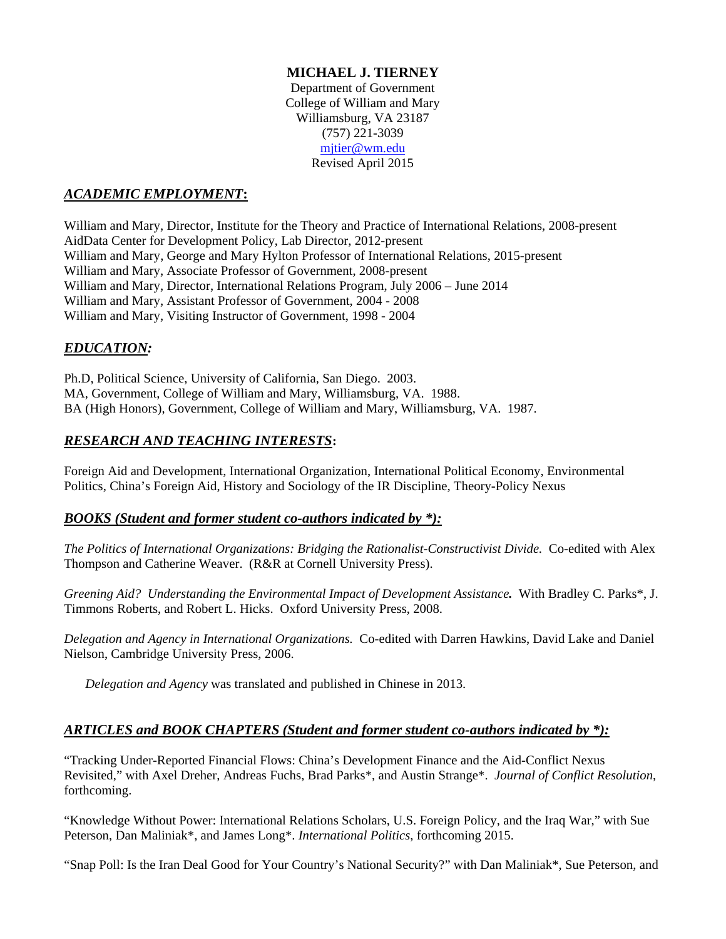## **MICHAEL J. TIERNEY**

 Department of Government College of William and Mary Williamsburg, VA 23187 (757) 221-3039 mjtier@wm.edu Revised April 2015

## *ACADEMIC EMPLOYMENT***:**

William and Mary, Director, Institute for the Theory and Practice of International Relations, 2008-present AidData Center for Development Policy, Lab Director, 2012-present William and Mary, George and Mary Hylton Professor of International Relations, 2015-present William and Mary, Associate Professor of Government, 2008-present William and Mary, Director, International Relations Program, July 2006 – June 2014 William and Mary, Assistant Professor of Government, 2004 - 2008 William and Mary, Visiting Instructor of Government, 1998 - 2004

## *EDUCATION:*

Ph.D, Political Science, University of California, San Diego. 2003. MA, Government, College of William and Mary, Williamsburg, VA. 1988. BA (High Honors), Government, College of William and Mary, Williamsburg, VA. 1987.

## *RESEARCH AND TEACHING INTERESTS***:**

Foreign Aid and Development, International Organization, International Political Economy, Environmental Politics, China's Foreign Aid, History and Sociology of the IR Discipline, Theory-Policy Nexus

### *BOOKS (Student and former student co-authors indicated by \*):*

*The Politics of International Organizations: Bridging the Rationalist-Constructivist Divide.* Co-edited with Alex Thompson and Catherine Weaver. (R&R at Cornell University Press).

*Greening Aid? Understanding the Environmental Impact of Development Assistance.* With Bradley C. Parks\*, J. Timmons Roberts, and Robert L. Hicks. Oxford University Press, 2008.

*Delegation and Agency in International Organizations.* Co-edited with Darren Hawkins, David Lake and Daniel Nielson, Cambridge University Press, 2006.

*Delegation and Agency* was translated and published in Chinese in 2013.

### *ARTICLES and BOOK CHAPTERS (Student and former student co-authors indicated by \*):*

"Tracking Under-Reported Financial Flows: China's Development Finance and the Aid-Conflict Nexus Revisited," with Axel Dreher, Andreas Fuchs, Brad Parks\*, and Austin Strange\*. *Journal of Conflict Resolution*, forthcoming.

"Knowledge Without Power: International Relations Scholars, U.S. Foreign Policy, and the Iraq War," with Sue Peterson, Dan Maliniak\*, and James Long\*. *International Politics*, forthcoming 2015.

"Snap Poll: Is the Iran Deal Good for Your Country's National Security?" with Dan Maliniak\*, Sue Peterson, and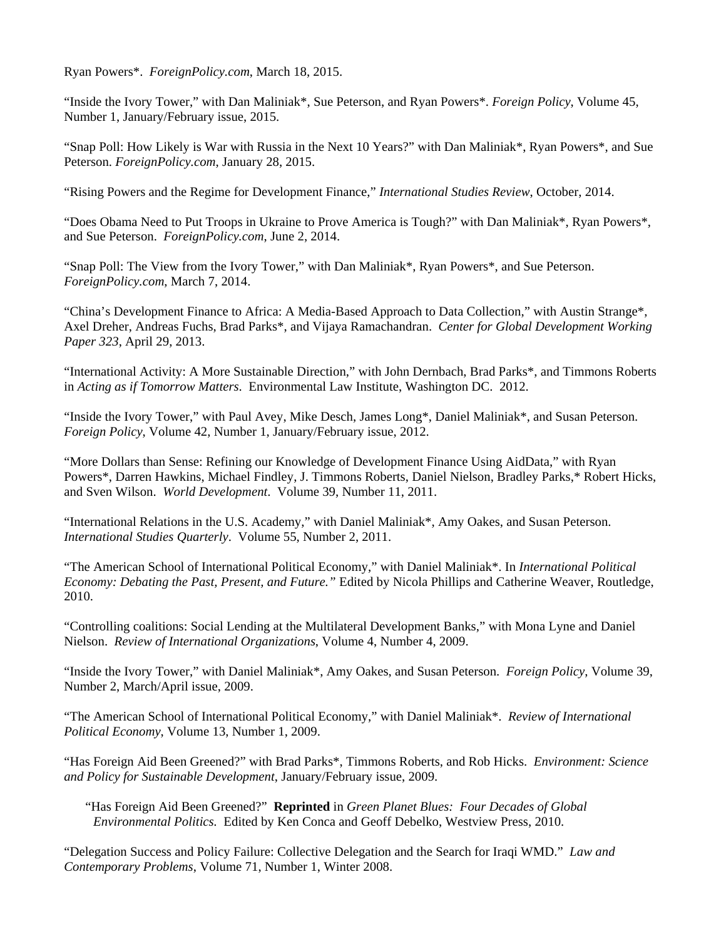Ryan Powers\*. *ForeignPolicy.com*, March 18, 2015.

"Inside the Ivory Tower," with Dan Maliniak\*, Sue Peterson, and Ryan Powers\*. *Foreign Policy*, Volume 45, Number 1, January/February issue, 2015.

"Snap Poll: How Likely is War with Russia in the Next 10 Years?" with Dan Maliniak\*, Ryan Powers\*, and Sue Peterson. *ForeignPolicy.com*, January 28, 2015.

"Rising Powers and the Regime for Development Finance," *International Studies Review*, October, 2014.

"Does Obama Need to Put Troops in Ukraine to Prove America is Tough?" with Dan Maliniak\*, Ryan Powers\*, and Sue Peterson. *ForeignPolicy.com*, June 2, 2014.

"Snap Poll: The View from the Ivory Tower," with Dan Maliniak\*, Ryan Powers\*, and Sue Peterson. *ForeignPolicy.com*, March 7, 2014.

"China's Development Finance to Africa: A Media-Based Approach to Data Collection," with Austin Strange\*, Axel Dreher, Andreas Fuchs, Brad Parks\*, and Vijaya Ramachandran. *Center for Global Development Working Paper 323*, April 29, 2013.

"International Activity: A More Sustainable Direction," with John Dernbach, Brad Parks\*, and Timmons Roberts in *Acting as if Tomorrow Matters*. Environmental Law Institute, Washington DC. 2012.

"Inside the Ivory Tower," with Paul Avey, Mike Desch, James Long\*, Daniel Maliniak\*, and Susan Peterson. *Foreign Policy*, Volume 42, Number 1, January/February issue, 2012.

"More Dollars than Sense: Refining our Knowledge of Development Finance Using AidData," with Ryan Powers\*, Darren Hawkins, Michael Findley, J. Timmons Roberts, Daniel Nielson, Bradley Parks,\* Robert Hicks, and Sven Wilson. *World Development*. Volume 39, Number 11, 2011.

"International Relations in the U.S. Academy," with Daniel Maliniak\*, Amy Oakes, and Susan Peterson. *International Studies Quarterly*. Volume 55, Number 2, 2011.

"The American School of International Political Economy," with Daniel Maliniak\*. In *International Political Economy: Debating the Past, Present, and Future."* Edited by Nicola Phillips and Catherine Weaver, Routledge, 2010.

"Controlling coalitions: Social Lending at the Multilateral Development Banks," with Mona Lyne and Daniel Nielson. *Review of International Organizations*, Volume 4, Number 4, 2009.

"Inside the Ivory Tower," with Daniel Maliniak\*, Amy Oakes, and Susan Peterson. *Foreign Policy*, Volume 39, Number 2, March/April issue, 2009.

"The American School of International Political Economy," with Daniel Maliniak\*. *Review of International Political Economy*, Volume 13, Number 1, 2009.

"Has Foreign Aid Been Greened?" with Brad Parks\*, Timmons Roberts, and Rob Hicks. *Environment: Science and Policy for Sustainable Development*, January/February issue, 2009.

 "Has Foreign Aid Been Greened?" **Reprinted** in *Green Planet Blues: Four Decades of Global Environmental Politics.* Edited by Ken Conca and Geoff Debelko, Westview Press, 2010.

"Delegation Success and Policy Failure: Collective Delegation and the Search for Iraqi WMD." *Law and Contemporary Problems*, Volume 71, Number 1, Winter 2008.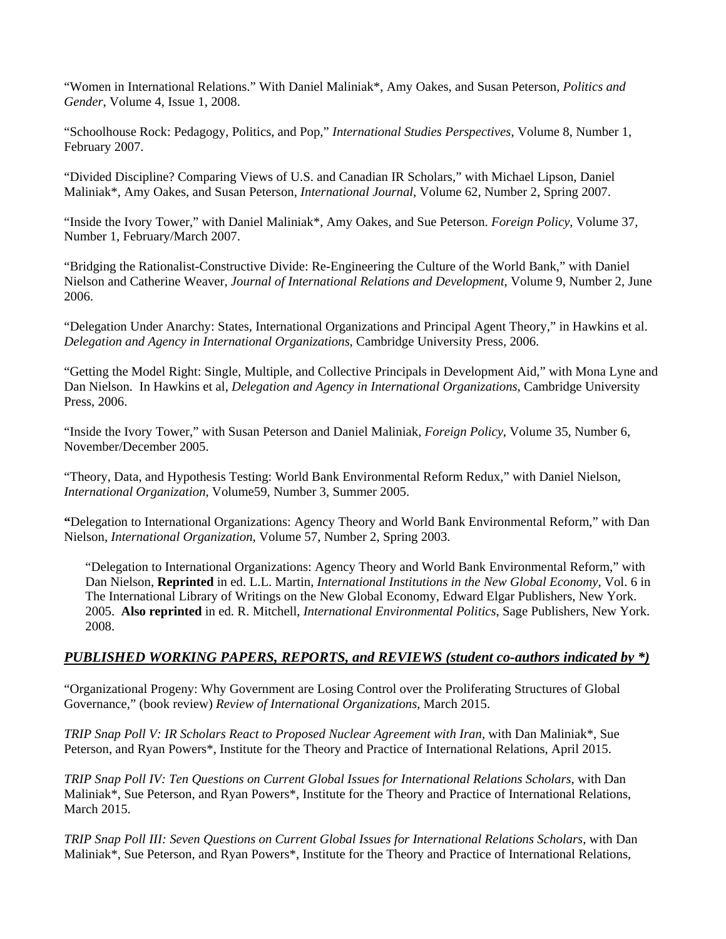"Women in International Relations." With Daniel Maliniak\*, Amy Oakes, and Susan Peterson, *Politics and Gender*, Volume 4, Issue 1, 2008.

"Schoolhouse Rock: Pedagogy, Politics, and Pop," *International Studies Perspectives*, Volume 8, Number 1, February 2007.

"Divided Discipline? Comparing Views of U.S. and Canadian IR Scholars," with Michael Lipson, Daniel Maliniak\*, Amy Oakes, and Susan Peterson, *International Journal*, Volume 62, Number 2, Spring 2007.

"Inside the Ivory Tower," with Daniel Maliniak\*, Amy Oakes, and Sue Peterson. *Foreign Policy*, Volume 37, Number 1, February/March 2007.

"Bridging the Rationalist-Constructive Divide: Re-Engineering the Culture of the World Bank," with Daniel Nielson and Catherine Weaver, *Journal of International Relations and Development*, Volume 9, Number 2, June 2006.

"Delegation Under Anarchy: States, International Organizations and Principal Agent Theory," in Hawkins et al. *Delegation and Agency in International Organizations*, Cambridge University Press, 2006.

"Getting the Model Right: Single, Multiple, and Collective Principals in Development Aid," with Mona Lyne and Dan Nielson. In Hawkins et al, *Delegation and Agency in International Organizations*, Cambridge University Press, 2006.

"Inside the Ivory Tower," with Susan Peterson and Daniel Maliniak, *Foreign Policy*, Volume 35, Number 6, November/December 2005.

"Theory, Data, and Hypothesis Testing: World Bank Environmental Reform Redux," with Daniel Nielson, *International Organization*, Volume59, Number 3, Summer 2005.

**"**Delegation to International Organizations: Agency Theory and World Bank Environmental Reform," with Dan Nielson, *International Organization*, Volume 57, Number 2, Spring 2003.

"Delegation to International Organizations: Agency Theory and World Bank Environmental Reform," with Dan Nielson, **Reprinted** in ed. L.L. Martin, *International Institutions in the New Global Economy*, Vol. 6 in The International Library of Writings on the New Global Economy, Edward Elgar Publishers, New York. 2005. **Also reprinted** in ed. R. Mitchell, *International Environmental Politics*, Sage Publishers, New York. 2008.

### *PUBLISHED WORKING PAPERS, REPORTS, and REVIEWS (student co-authors indicated by \*)*

"Organizational Progeny: Why Government are Losing Control over the Proliferating Structures of Global Governance," (book review) *Review of International Organizations*, March 2015.

*TRIP Snap Poll V: IR Scholars React to Proposed Nuclear Agreement with Iran, with Dan Maliniak\*, Sue* Peterson, and Ryan Powers\*, Institute for the Theory and Practice of International Relations, April 2015.

*TRIP Snap Poll IV: Ten Questions on Current Global Issues for International Relations Scholars*, with Dan Maliniak\*, Sue Peterson, and Ryan Powers\*, Institute for the Theory and Practice of International Relations, March 2015.

*TRIP Snap Poll III: Seven Questions on Current Global Issues for International Relations Scholars*, with Dan Maliniak\*, Sue Peterson, and Ryan Powers\*, Institute for the Theory and Practice of International Relations,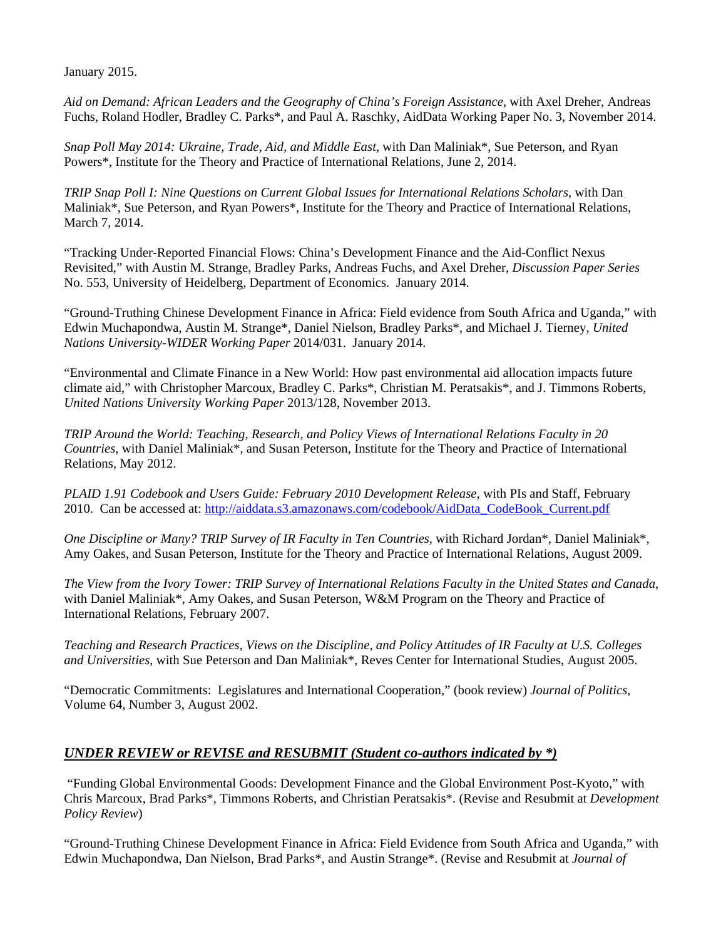January 2015.

*Aid on Demand: African Leaders and the Geography of China's Foreign Assistance,* with Axel Dreher, Andreas Fuchs, Roland Hodler, Bradley C. Parks\*, and Paul A. Raschky, AidData Working Paper No. 3, November 2014.

*Snap Poll May 2014: Ukraine, Trade, Aid, and Middle East,* with Dan Maliniak\*, Sue Peterson, and Ryan Powers\*, Institute for the Theory and Practice of International Relations, June 2, 2014.

*TRIP Snap Poll I: Nine Questions on Current Global Issues for International Relations Scholars*, with Dan Maliniak\*, Sue Peterson, and Ryan Powers\*, Institute for the Theory and Practice of International Relations, March 7, 2014.

"Tracking Under-Reported Financial Flows: China's Development Finance and the Aid-Conflict Nexus Revisited," with Austin M. Strange, Bradley Parks, Andreas Fuchs, and Axel Dreher, *Discussion Paper Series* No. 553, University of Heidelberg, Department of Economics. January 2014.

"Ground-Truthing Chinese Development Finance in Africa: Field evidence from South Africa and Uganda," with Edwin Muchapondwa, Austin M. Strange\*, Daniel Nielson, Bradley Parks\*, and Michael J. Tierney, *United Nations University-WIDER Working Paper* 2014/031. January 2014.

"Environmental and Climate Finance in a New World: How past environmental aid allocation impacts future climate aid," with Christopher Marcoux, Bradley C. Parks\*, Christian M. Peratsakis\*, and J. Timmons Roberts, *United Nations University Working Paper* 2013/128, November 2013.

*TRIP Around the World: Teaching, Research, and Policy Views of International Relations Faculty in 20 Countries*, with Daniel Maliniak\*, and Susan Peterson, Institute for the Theory and Practice of International Relations, May 2012.

*PLAID 1.91 Codebook and Users Guide: February 2010 Development Release,* with PIs and Staff, February 2010. Can be accessed at: http://aiddata.s3.amazonaws.com/codebook/AidData\_CodeBook\_Current.pdf

*One Discipline or Many? TRIP Survey of IR Faculty in Ten Countries*, with Richard Jordan\*, Daniel Maliniak\*, Amy Oakes, and Susan Peterson, Institute for the Theory and Practice of International Relations, August 2009.

*The View from the Ivory Tower: TRIP Survey of International Relations Faculty in the United States and Canada*, with Daniel Maliniak\*, Amy Oakes, and Susan Peterson, W&M Program on the Theory and Practice of International Relations, February 2007.

*Teaching and Research Practices, Views on the Discipline, and Policy Attitudes of IR Faculty at U.S. Colleges and Universities*, with Sue Peterson and Dan Maliniak\*, Reves Center for International Studies, August 2005.

"Democratic Commitments: Legislatures and International Cooperation," (book review) *Journal of Politics*, Volume 64, Number 3, August 2002.

## *UNDER REVIEW or REVISE and RESUBMIT (Student co-authors indicated by \*)*

 "Funding Global Environmental Goods: Development Finance and the Global Environment Post-Kyoto," with Chris Marcoux, Brad Parks\*, Timmons Roberts, and Christian Peratsakis\*. (Revise and Resubmit at *Development Policy Review*)

"Ground-Truthing Chinese Development Finance in Africa: Field Evidence from South Africa and Uganda," with Edwin Muchapondwa, Dan Nielson, Brad Parks\*, and Austin Strange\*. (Revise and Resubmit at *Journal of*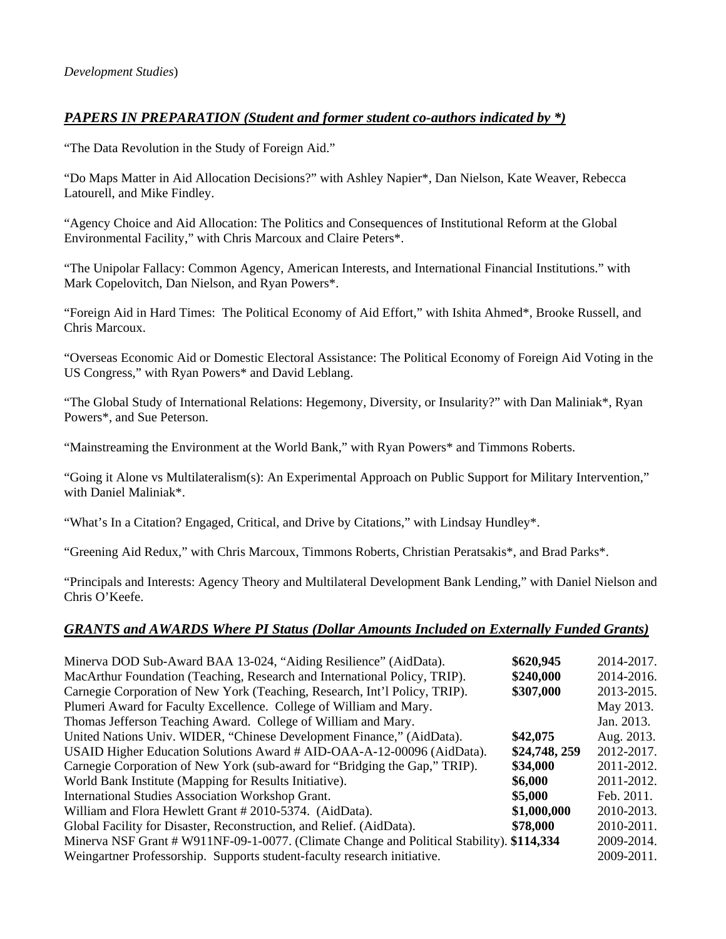## *PAPERS IN PREPARATION (Student and former student co-authors indicated by \*)*

"The Data Revolution in the Study of Foreign Aid."

"Do Maps Matter in Aid Allocation Decisions?" with Ashley Napier\*, Dan Nielson, Kate Weaver, Rebecca Latourell, and Mike Findley.

"Agency Choice and Aid Allocation: The Politics and Consequences of Institutional Reform at the Global Environmental Facility," with Chris Marcoux and Claire Peters\*.

"The Unipolar Fallacy: Common Agency, American Interests, and International Financial Institutions." with Mark Copelovitch, Dan Nielson, and Ryan Powers\*.

"Foreign Aid in Hard Times: The Political Economy of Aid Effort," with Ishita Ahmed\*, Brooke Russell, and Chris Marcoux.

"Overseas Economic Aid or Domestic Electoral Assistance: The Political Economy of Foreign Aid Voting in the US Congress," with Ryan Powers\* and David Leblang.

"The Global Study of International Relations: Hegemony, Diversity, or Insularity?" with Dan Maliniak\*, Ryan Powers\*, and Sue Peterson.

"Mainstreaming the Environment at the World Bank," with Ryan Powers\* and Timmons Roberts.

"Going it Alone vs Multilateralism(s): An Experimental Approach on Public Support for Military Intervention," with Daniel Maliniak\*.

"What's In a Citation? Engaged, Critical, and Drive by Citations," with Lindsay Hundley\*.

"Greening Aid Redux," with Chris Marcoux, Timmons Roberts, Christian Peratsakis\*, and Brad Parks\*.

"Principals and Interests: Agency Theory and Multilateral Development Bank Lending," with Daniel Nielson and Chris O'Keefe.

### *GRANTS and AWARDS Where PI Status (Dollar Amounts Included on Externally Funded Grants)*

|               | 2014-2017.                                                                                                                       |
|---------------|----------------------------------------------------------------------------------------------------------------------------------|
|               |                                                                                                                                  |
|               | 2014-2016.                                                                                                                       |
|               | 2013-2015.                                                                                                                       |
|               | May 2013.                                                                                                                        |
|               | Jan. 2013.                                                                                                                       |
| \$42,075      | Aug. 2013.                                                                                                                       |
| \$24,748, 259 | 2012-2017.                                                                                                                       |
| \$34,000      | 2011-2012.                                                                                                                       |
| \$6,000       | 2011-2012.                                                                                                                       |
| \$5,000       | Feb. 2011.                                                                                                                       |
| \$1,000,000   | 2010-2013.                                                                                                                       |
| \$78,000      | 2010-2011.                                                                                                                       |
|               | 2009-2014.                                                                                                                       |
|               | 2009-2011.                                                                                                                       |
|               | \$620,945<br>\$240,000<br>\$307,000<br>Minerva NSF Grant # W911NF-09-1-0077. (Climate Change and Political Stability). \$114,334 |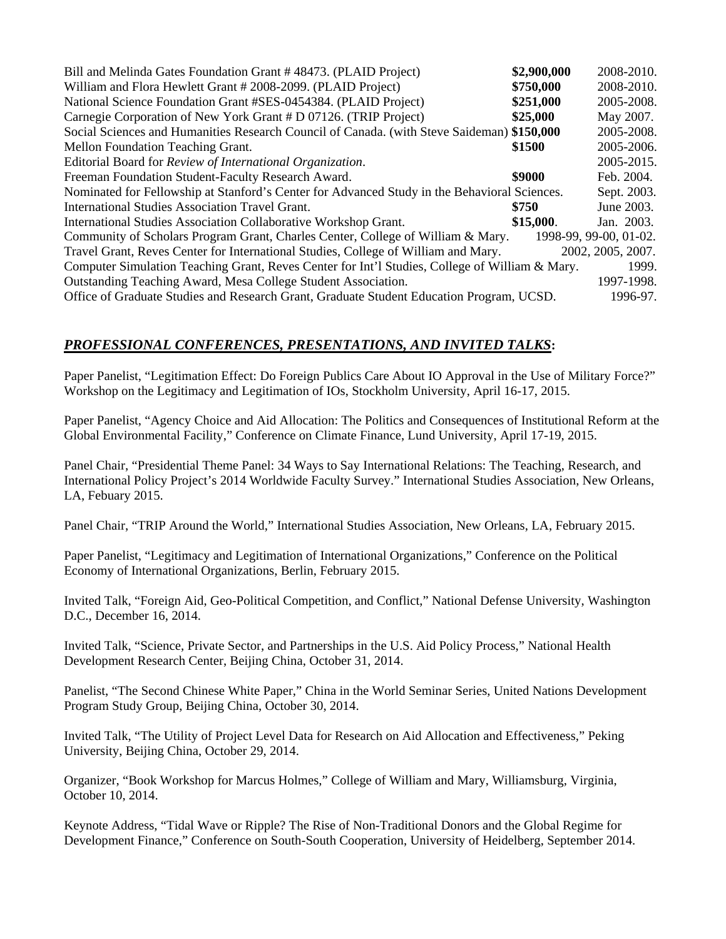| Bill and Melinda Gates Foundation Grant #48473. (PLAID Project)                                | \$2,900,000 | 2008-2010.             |
|------------------------------------------------------------------------------------------------|-------------|------------------------|
| William and Flora Hewlett Grant # 2008-2099. (PLAID Project)                                   | \$750,000   | 2008-2010.             |
| National Science Foundation Grant #SES-0454384. (PLAID Project)                                | \$251,000   | 2005-2008.             |
| Carnegie Corporation of New York Grant # D 07126. (TRIP Project)                               | \$25,000    | May 2007.              |
| Social Sciences and Humanities Research Council of Canada. (with Steve Saideman) \$150,000     |             | 2005-2008.             |
| Mellon Foundation Teaching Grant.                                                              | \$1500      | 2005-2006.             |
| Editorial Board for Review of International Organization.                                      |             | 2005-2015.             |
| Freeman Foundation Student-Faculty Research Award.                                             | \$9000      | Feb. 2004.             |
| Nominated for Fellowship at Stanford's Center for Advanced Study in the Behavioral Sciences.   |             | Sept. 2003.            |
| <b>International Studies Association Travel Grant.</b>                                         | \$750       | June 2003.             |
| International Studies Association Collaborative Workshop Grant.                                | \$15,000.   | Jan. 2003.             |
| Community of Scholars Program Grant, Charles Center, College of William & Mary.                |             | 1998-99, 99-00, 01-02. |
| Travel Grant, Reves Center for International Studies, College of William and Mary.             |             | 2002, 2005, 2007.      |
| Computer Simulation Teaching Grant, Reves Center for Int'l Studies, College of William & Mary. |             | 1999.                  |
| Outstanding Teaching Award, Mesa College Student Association.                                  |             | 1997-1998.             |
| Office of Graduate Studies and Research Grant, Graduate Student Education Program, UCSD.       |             | 1996-97.               |

## *PROFESSIONAL CONFERENCES, PRESENTATIONS, AND INVITED TALKS***:**

Paper Panelist, "Legitimation Effect: Do Foreign Publics Care About IO Approval in the Use of Military Force?" Workshop on the Legitimacy and Legitimation of IOs, Stockholm University, April 16-17, 2015.

Paper Panelist, "Agency Choice and Aid Allocation: The Politics and Consequences of Institutional Reform at the Global Environmental Facility," Conference on Climate Finance, Lund University, April 17-19, 2015.

Panel Chair, "Presidential Theme Panel: 34 Ways to Say International Relations: The Teaching, Research, and International Policy Project's 2014 Worldwide Faculty Survey." International Studies Association, New Orleans, LA, Febuary 2015.

Panel Chair, "TRIP Around the World," International Studies Association, New Orleans, LA, February 2015.

Paper Panelist, "Legitimacy and Legitimation of International Organizations," Conference on the Political Economy of International Organizations, Berlin, February 2015.

Invited Talk, "Foreign Aid, Geo-Political Competition, and Conflict," National Defense University, Washington D.C., December 16, 2014.

Invited Talk, "Science, Private Sector, and Partnerships in the U.S. Aid Policy Process," National Health Development Research Center, Beijing China, October 31, 2014.

Panelist, "The Second Chinese White Paper," China in the World Seminar Series, United Nations Development Program Study Group, Beijing China, October 30, 2014.

Invited Talk, "The Utility of Project Level Data for Research on Aid Allocation and Effectiveness," Peking University, Beijing China, October 29, 2014.

Organizer, "Book Workshop for Marcus Holmes," College of William and Mary, Williamsburg, Virginia, October 10, 2014.

Keynote Address, "Tidal Wave or Ripple? The Rise of Non-Traditional Donors and the Global Regime for Development Finance," Conference on South-South Cooperation, University of Heidelberg, September 2014.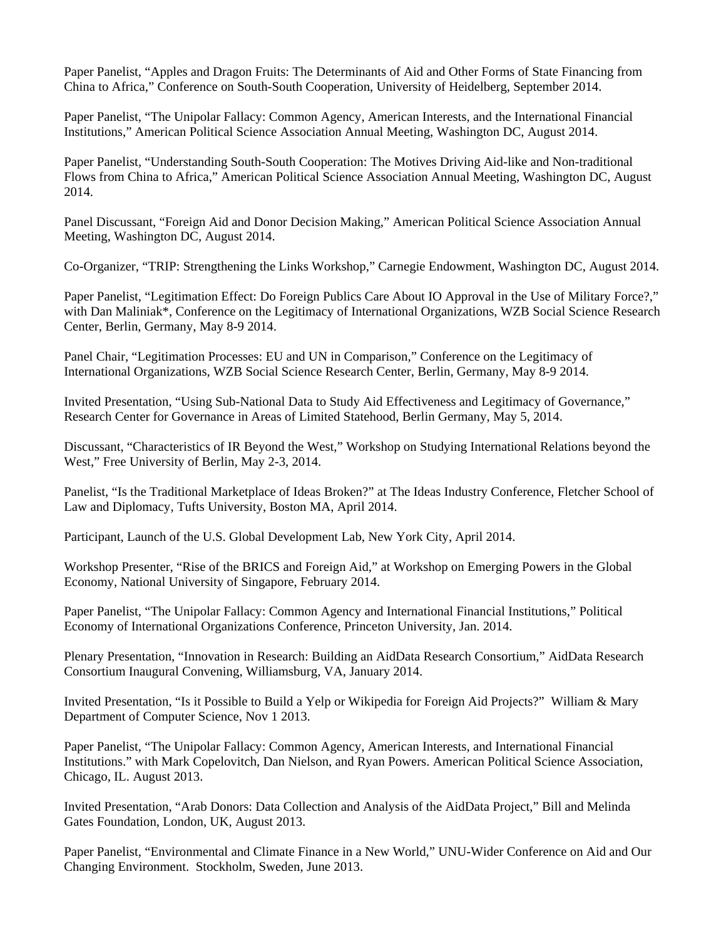Paper Panelist, "Apples and Dragon Fruits: The Determinants of Aid and Other Forms of State Financing from China to Africa," Conference on South-South Cooperation, University of Heidelberg, September 2014.

Paper Panelist, "The Unipolar Fallacy: Common Agency, American Interests, and the International Financial Institutions," American Political Science Association Annual Meeting, Washington DC, August 2014.

Paper Panelist, "Understanding South-South Cooperation: The Motives Driving Aid-like and Non-traditional Flows from China to Africa," American Political Science Association Annual Meeting, Washington DC, August 2014.

Panel Discussant, "Foreign Aid and Donor Decision Making," American Political Science Association Annual Meeting, Washington DC, August 2014.

Co-Organizer, "TRIP: Strengthening the Links Workshop," Carnegie Endowment, Washington DC, August 2014.

Paper Panelist, "Legitimation Effect: Do Foreign Publics Care About IO Approval in the Use of Military Force?," with Dan Maliniak\*, Conference on the Legitimacy of International Organizations, WZB Social Science Research Center, Berlin, Germany, May 8-9 2014.

Panel Chair, "Legitimation Processes: EU and UN in Comparison," Conference on the Legitimacy of International Organizations, WZB Social Science Research Center, Berlin, Germany, May 8-9 2014.

Invited Presentation, "Using Sub-National Data to Study Aid Effectiveness and Legitimacy of Governance," Research Center for Governance in Areas of Limited Statehood, Berlin Germany, May 5, 2014.

Discussant, "Characteristics of IR Beyond the West," Workshop on Studying International Relations beyond the West," Free University of Berlin, May 2-3, 2014.

Panelist, "Is the Traditional Marketplace of Ideas Broken?" at The Ideas Industry Conference, Fletcher School of Law and Diplomacy, Tufts University, Boston MA, April 2014.

Participant, Launch of the U.S. Global Development Lab, New York City, April 2014.

Workshop Presenter, "Rise of the BRICS and Foreign Aid," at Workshop on Emerging Powers in the Global Economy, National University of Singapore, February 2014.

Paper Panelist, "The Unipolar Fallacy: Common Agency and International Financial Institutions," Political Economy of International Organizations Conference, Princeton University, Jan. 2014.

Plenary Presentation, "Innovation in Research: Building an AidData Research Consortium," AidData Research Consortium Inaugural Convening, Williamsburg, VA, January 2014.

Invited Presentation, "Is it Possible to Build a Yelp or Wikipedia for Foreign Aid Projects?" William & Mary Department of Computer Science, Nov 1 2013.

Paper Panelist, "The Unipolar Fallacy: Common Agency, American Interests, and International Financial Institutions." with Mark Copelovitch, Dan Nielson, and Ryan Powers. American Political Science Association, Chicago, IL. August 2013.

Invited Presentation, "Arab Donors: Data Collection and Analysis of the AidData Project," Bill and Melinda Gates Foundation, London, UK, August 2013.

Paper Panelist, "Environmental and Climate Finance in a New World," UNU-Wider Conference on Aid and Our Changing Environment. Stockholm, Sweden, June 2013.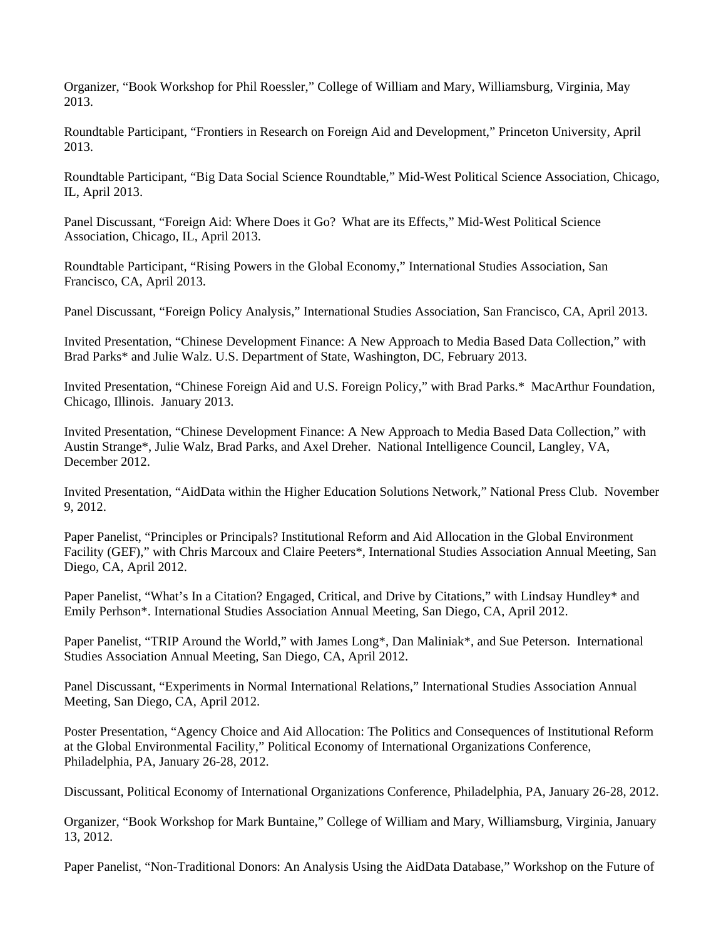Organizer, "Book Workshop for Phil Roessler," College of William and Mary, Williamsburg, Virginia, May 2013.

Roundtable Participant, "Frontiers in Research on Foreign Aid and Development," Princeton University, April 2013.

Roundtable Participant, "Big Data Social Science Roundtable," Mid-West Political Science Association, Chicago, IL, April 2013.

Panel Discussant, "Foreign Aid: Where Does it Go? What are its Effects," Mid-West Political Science Association, Chicago, IL, April 2013.

Roundtable Participant, "Rising Powers in the Global Economy," International Studies Association, San Francisco, CA, April 2013.

Panel Discussant, "Foreign Policy Analysis," International Studies Association, San Francisco, CA, April 2013.

Invited Presentation, "Chinese Development Finance: A New Approach to Media Based Data Collection," with Brad Parks\* and Julie Walz. U.S. Department of State, Washington, DC, February 2013.

Invited Presentation, "Chinese Foreign Aid and U.S. Foreign Policy," with Brad Parks.\* MacArthur Foundation, Chicago, Illinois. January 2013.

Invited Presentation, "Chinese Development Finance: A New Approach to Media Based Data Collection," with Austin Strange\*, Julie Walz, Brad Parks, and Axel Dreher. National Intelligence Council, Langley, VA, December 2012.

Invited Presentation, "AidData within the Higher Education Solutions Network," National Press Club. November 9, 2012.

Paper Panelist, "Principles or Principals? Institutional Reform and Aid Allocation in the Global Environment Facility (GEF)," with Chris Marcoux and Claire Peeters\*, International Studies Association Annual Meeting, San Diego, CA, April 2012.

Paper Panelist, "What's In a Citation? Engaged, Critical, and Drive by Citations," with Lindsay Hundley\* and Emily Perhson\*. International Studies Association Annual Meeting, San Diego, CA, April 2012.

Paper Panelist, "TRIP Around the World," with James Long\*, Dan Maliniak\*, and Sue Peterson. International Studies Association Annual Meeting, San Diego, CA, April 2012.

Panel Discussant, "Experiments in Normal International Relations," International Studies Association Annual Meeting, San Diego, CA, April 2012.

Poster Presentation, "Agency Choice and Aid Allocation: The Politics and Consequences of Institutional Reform at the Global Environmental Facility," Political Economy of International Organizations Conference, Philadelphia, PA, January 26-28, 2012.

Discussant, Political Economy of International Organizations Conference, Philadelphia, PA, January 26-28, 2012.

Organizer, "Book Workshop for Mark Buntaine," College of William and Mary, Williamsburg, Virginia, January 13, 2012.

Paper Panelist, "Non-Traditional Donors: An Analysis Using the AidData Database," Workshop on the Future of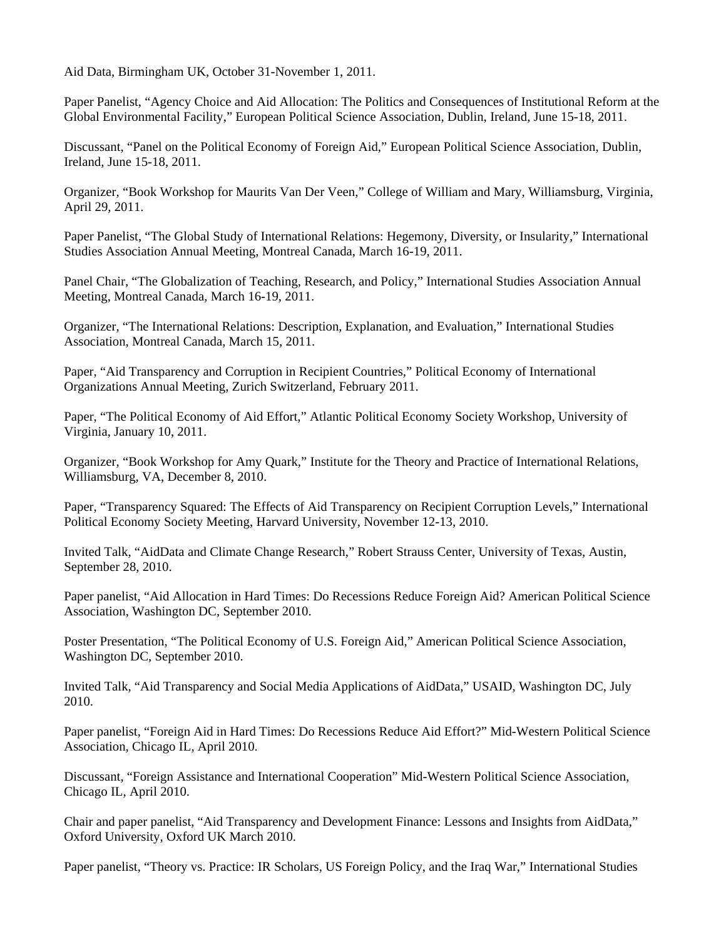Aid Data, Birmingham UK, October 31-November 1, 2011.

Paper Panelist, "Agency Choice and Aid Allocation: The Politics and Consequences of Institutional Reform at the Global Environmental Facility," European Political Science Association, Dublin, Ireland, June 15-18, 2011.

Discussant, "Panel on the Political Economy of Foreign Aid," European Political Science Association, Dublin, Ireland, June 15-18, 2011.

Organizer, "Book Workshop for Maurits Van Der Veen," College of William and Mary, Williamsburg, Virginia, April 29, 2011.

Paper Panelist, "The Global Study of International Relations: Hegemony, Diversity, or Insularity," International Studies Association Annual Meeting, Montreal Canada, March 16-19, 2011.

Panel Chair, "The Globalization of Teaching, Research, and Policy," International Studies Association Annual Meeting, Montreal Canada, March 16-19, 2011.

Organizer, "The International Relations: Description, Explanation, and Evaluation," International Studies Association, Montreal Canada, March 15, 2011.

Paper, "Aid Transparency and Corruption in Recipient Countries," Political Economy of International Organizations Annual Meeting, Zurich Switzerland, February 2011.

Paper, "The Political Economy of Aid Effort," Atlantic Political Economy Society Workshop, University of Virginia, January 10, 2011.

Organizer, "Book Workshop for Amy Quark," Institute for the Theory and Practice of International Relations, Williamsburg, VA, December 8, 2010.

Paper, "Transparency Squared: The Effects of Aid Transparency on Recipient Corruption Levels," International Political Economy Society Meeting, Harvard University, November 12-13, 2010.

Invited Talk, "AidData and Climate Change Research," Robert Strauss Center, University of Texas, Austin, September 28, 2010.

Paper panelist, "Aid Allocation in Hard Times: Do Recessions Reduce Foreign Aid? American Political Science Association, Washington DC, September 2010.

Poster Presentation, "The Political Economy of U.S. Foreign Aid," American Political Science Association, Washington DC, September 2010.

Invited Talk, "Aid Transparency and Social Media Applications of AidData," USAID, Washington DC, July 2010.

Paper panelist, "Foreign Aid in Hard Times: Do Recessions Reduce Aid Effort?" Mid-Western Political Science Association, Chicago IL, April 2010.

Discussant, "Foreign Assistance and International Cooperation" Mid-Western Political Science Association, Chicago IL, April 2010.

Chair and paper panelist, "Aid Transparency and Development Finance: Lessons and Insights from AidData," Oxford University, Oxford UK March 2010.

Paper panelist, "Theory vs. Practice: IR Scholars, US Foreign Policy, and the Iraq War," International Studies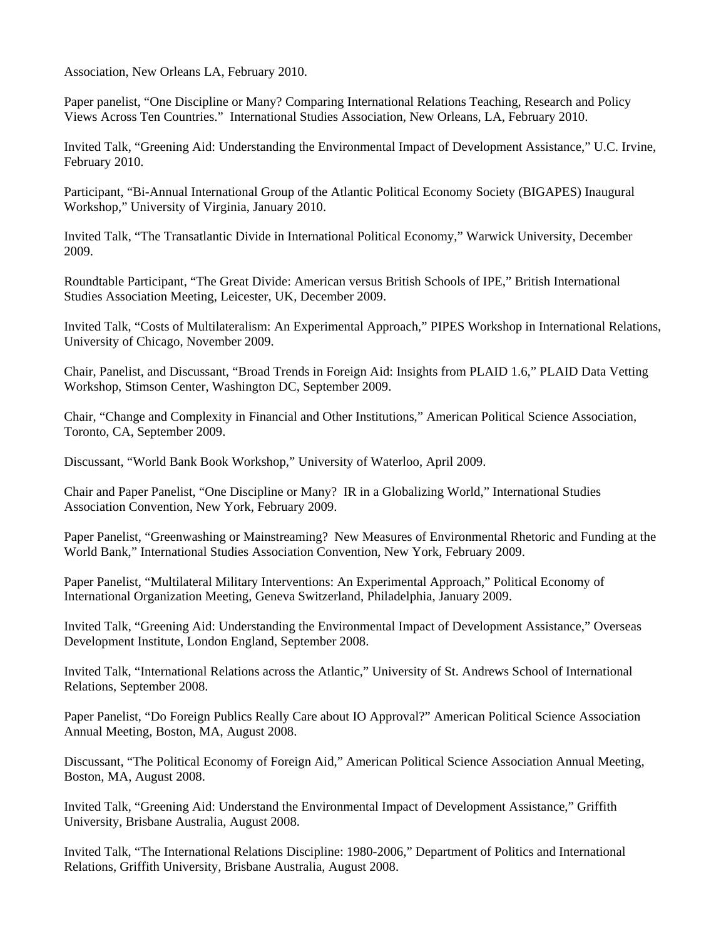Association, New Orleans LA, February 2010.

Paper panelist, "One Discipline or Many? Comparing International Relations Teaching, Research and Policy Views Across Ten Countries." International Studies Association, New Orleans, LA, February 2010.

Invited Talk, "Greening Aid: Understanding the Environmental Impact of Development Assistance," U.C. Irvine, February 2010.

Participant, "Bi-Annual International Group of the Atlantic Political Economy Society (BIGAPES) Inaugural Workshop," University of Virginia, January 2010.

Invited Talk, "The Transatlantic Divide in International Political Economy," Warwick University, December 2009.

Roundtable Participant, "The Great Divide: American versus British Schools of IPE," British International Studies Association Meeting, Leicester, UK, December 2009.

Invited Talk, "Costs of Multilateralism: An Experimental Approach," PIPES Workshop in International Relations, University of Chicago, November 2009.

Chair, Panelist, and Discussant, "Broad Trends in Foreign Aid: Insights from PLAID 1.6," PLAID Data Vetting Workshop, Stimson Center, Washington DC, September 2009.

Chair, "Change and Complexity in Financial and Other Institutions," American Political Science Association, Toronto, CA, September 2009.

Discussant, "World Bank Book Workshop," University of Waterloo, April 2009.

Chair and Paper Panelist, "One Discipline or Many? IR in a Globalizing World," International Studies Association Convention, New York, February 2009.

Paper Panelist, "Greenwashing or Mainstreaming? New Measures of Environmental Rhetoric and Funding at the World Bank," International Studies Association Convention, New York, February 2009.

Paper Panelist, "Multilateral Military Interventions: An Experimental Approach," Political Economy of International Organization Meeting, Geneva Switzerland, Philadelphia, January 2009.

Invited Talk, "Greening Aid: Understanding the Environmental Impact of Development Assistance," Overseas Development Institute, London England, September 2008.

Invited Talk, "International Relations across the Atlantic," University of St. Andrews School of International Relations, September 2008.

Paper Panelist, "Do Foreign Publics Really Care about IO Approval?" American Political Science Association Annual Meeting, Boston, MA, August 2008.

Discussant, "The Political Economy of Foreign Aid," American Political Science Association Annual Meeting, Boston, MA, August 2008.

Invited Talk, "Greening Aid: Understand the Environmental Impact of Development Assistance," Griffith University, Brisbane Australia, August 2008.

Invited Talk, "The International Relations Discipline: 1980-2006," Department of Politics and International Relations, Griffith University, Brisbane Australia, August 2008.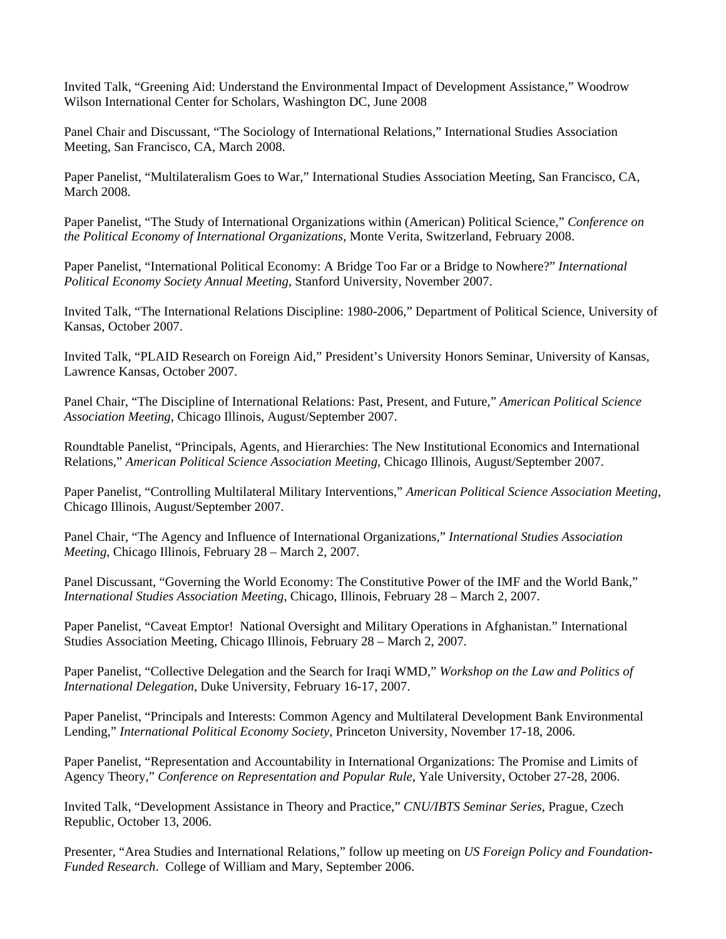Invited Talk, "Greening Aid: Understand the Environmental Impact of Development Assistance," Woodrow Wilson International Center for Scholars, Washington DC, June 2008

Panel Chair and Discussant, "The Sociology of International Relations," International Studies Association Meeting, San Francisco, CA, March 2008.

Paper Panelist, "Multilateralism Goes to War," International Studies Association Meeting, San Francisco, CA, March 2008.

Paper Panelist, "The Study of International Organizations within (American) Political Science," *Conference on the Political Economy of International Organizations*, Monte Verita, Switzerland, February 2008.

Paper Panelist, "International Political Economy: A Bridge Too Far or a Bridge to Nowhere?" *International Political Economy Society Annual Meeting*, Stanford University, November 2007.

Invited Talk, "The International Relations Discipline: 1980-2006," Department of Political Science, University of Kansas, October 2007.

Invited Talk, "PLAID Research on Foreign Aid," President's University Honors Seminar, University of Kansas, Lawrence Kansas, October 2007.

Panel Chair, "The Discipline of International Relations: Past, Present, and Future," *American Political Science Association Meeting*, Chicago Illinois, August/September 2007.

Roundtable Panelist, "Principals, Agents, and Hierarchies: The New Institutional Economics and International Relations," *American Political Science Association Meeting*, Chicago Illinois, August/September 2007.

Paper Panelist, "Controlling Multilateral Military Interventions," *American Political Science Association Meeting*, Chicago Illinois, August/September 2007.

Panel Chair, "The Agency and Influence of International Organizations," *International Studies Association Meeting*, Chicago Illinois, February 28 – March 2, 2007.

Panel Discussant, "Governing the World Economy: The Constitutive Power of the IMF and the World Bank," *International Studies Association Meeting*, Chicago, Illinois, February 28 – March 2, 2007.

Paper Panelist, "Caveat Emptor! National Oversight and Military Operations in Afghanistan." International Studies Association Meeting, Chicago Illinois, February 28 – March 2, 2007.

Paper Panelist, "Collective Delegation and the Search for Iraqi WMD," *Workshop on the Law and Politics of International Delegation*, Duke University, February 16-17, 2007.

Paper Panelist, "Principals and Interests: Common Agency and Multilateral Development Bank Environmental Lending," *International Political Economy Society*, Princeton University, November 17-18, 2006.

Paper Panelist, "Representation and Accountability in International Organizations: The Promise and Limits of Agency Theory," *Conference on Representation and Popular Rule*, Yale University, October 27-28, 2006.

Invited Talk, "Development Assistance in Theory and Practice," *CNU/IBTS Seminar Series*, Prague, Czech Republic, October 13, 2006.

Presenter, "Area Studies and International Relations," follow up meeting on *US Foreign Policy and Foundation-Funded Research*. College of William and Mary, September 2006.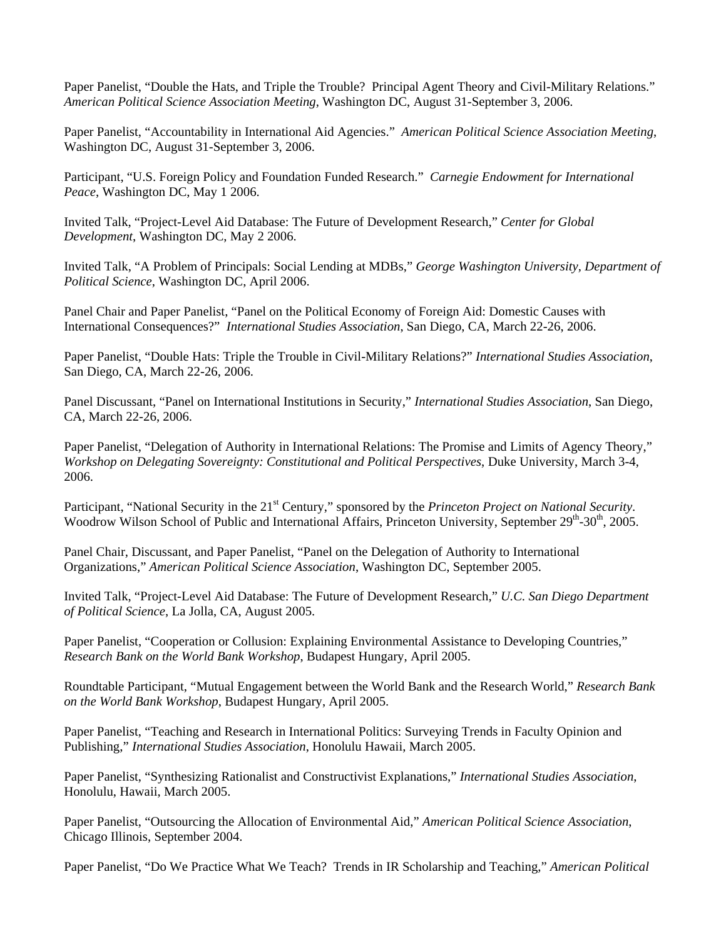Paper Panelist, "Double the Hats, and Triple the Trouble? Principal Agent Theory and Civil-Military Relations." *American Political Science Association Meeting*, Washington DC, August 31-September 3, 2006.

Paper Panelist, "Accountability in International Aid Agencies." *American Political Science Association Meeting*, Washington DC, August 31-September 3, 2006.

Participant, "U.S. Foreign Policy and Foundation Funded Research." *Carnegie Endowment for International Peace*, Washington DC, May 1 2006.

Invited Talk, "Project-Level Aid Database: The Future of Development Research," *Center for Global Development*, Washington DC, May 2 2006.

Invited Talk, "A Problem of Principals: Social Lending at MDBs," *George Washington University, Department of Political Science*, Washington DC, April 2006.

Panel Chair and Paper Panelist, "Panel on the Political Economy of Foreign Aid: Domestic Causes with International Consequences?" *International Studies Association*, San Diego, CA, March 22-26, 2006.

Paper Panelist, "Double Hats: Triple the Trouble in Civil-Military Relations?" *International Studies Association*, San Diego, CA, March 22-26, 2006.

Panel Discussant, "Panel on International Institutions in Security," *International Studies Association*, San Diego, CA, March 22-26, 2006.

Paper Panelist, "Delegation of Authority in International Relations: The Promise and Limits of Agency Theory," *Workshop on Delegating Sovereignty: Constitutional and Political Perspectives*, Duke University, March 3-4, 2006.

Participant, "National Security in the 21<sup>st</sup> Century," sponsored by the *Princeton Project on National Security*. Woodrow Wilson School of Public and International Affairs, Princeton University, September 29<sup>th</sup>-30<sup>th</sup>, 2005.

Panel Chair, Discussant, and Paper Panelist, "Panel on the Delegation of Authority to International Organizations," *American Political Science Association*, Washington DC, September 2005.

Invited Talk, "Project-Level Aid Database: The Future of Development Research," *U.C. San Diego Department of Political Science*, La Jolla, CA, August 2005.

Paper Panelist, "Cooperation or Collusion: Explaining Environmental Assistance to Developing Countries," *Research Bank on the World Bank Workshop*, Budapest Hungary, April 2005.

Roundtable Participant, "Mutual Engagement between the World Bank and the Research World," *Research Bank on the World Bank Workshop*, Budapest Hungary, April 2005.

Paper Panelist, "Teaching and Research in International Politics: Surveying Trends in Faculty Opinion and Publishing," *International Studies Association*, Honolulu Hawaii, March 2005.

Paper Panelist, "Synthesizing Rationalist and Constructivist Explanations," *International Studies Association*, Honolulu, Hawaii, March 2005.

Paper Panelist, "Outsourcing the Allocation of Environmental Aid," *American Political Science Association*, Chicago Illinois, September 2004.

Paper Panelist, "Do We Practice What We Teach? Trends in IR Scholarship and Teaching," *American Political*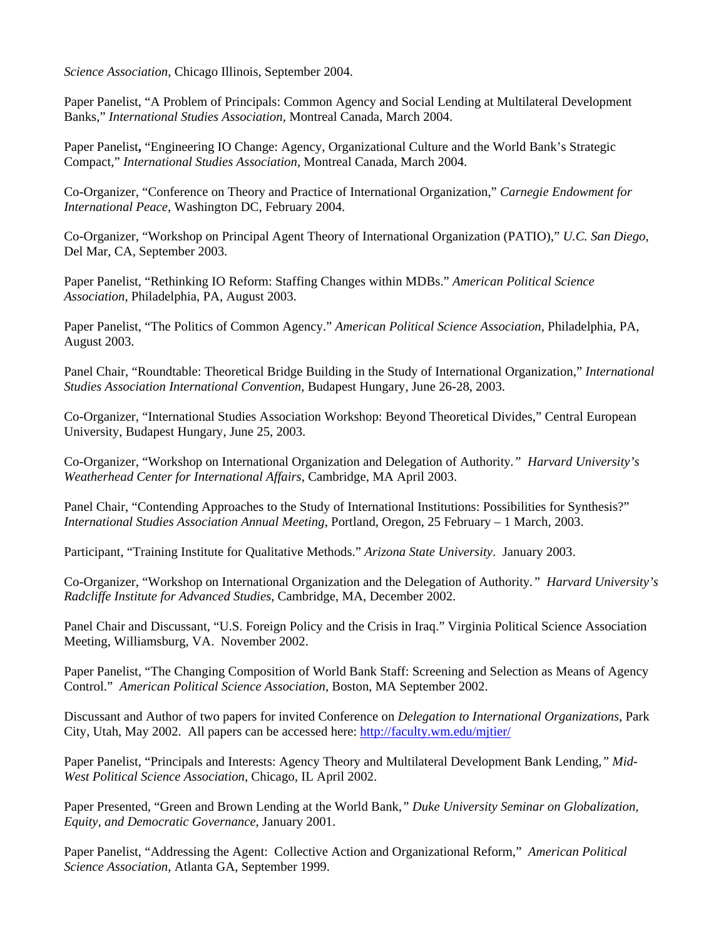*Science Association*, Chicago Illinois, September 2004.

Paper Panelist, "A Problem of Principals: Common Agency and Social Lending at Multilateral Development Banks," *International Studies Association*, Montreal Canada, March 2004.

Paper Panelist**,** "Engineering IO Change: Agency, Organizational Culture and the World Bank's Strategic Compact," *International Studies Association*, Montreal Canada, March 2004.

Co-Organizer, "Conference on Theory and Practice of International Organization," *Carnegie Endowment for International Peace*, Washington DC, February 2004.

Co-Organizer, "Workshop on Principal Agent Theory of International Organization (PATIO)," *U.C. San Diego*, Del Mar, CA, September 2003.

Paper Panelist, "Rethinking IO Reform: Staffing Changes within MDBs." *American Political Science Association*, Philadelphia, PA, August 2003.

Paper Panelist, "The Politics of Common Agency." *American Political Science Association*, Philadelphia, PA, August 2003.

Panel Chair, "Roundtable: Theoretical Bridge Building in the Study of International Organization," *International Studies Association International Convention,* Budapest Hungary, June 26-28, 2003.

Co-Organizer, "International Studies Association Workshop: Beyond Theoretical Divides," Central European University, Budapest Hungary, June 25, 2003.

Co-Organizer, "Workshop on International Organization and Delegation of Authority*." Harvard University's Weatherhead Center for International Affairs*, Cambridge, MA April 2003.

Panel Chair, "Contending Approaches to the Study of International Institutions: Possibilities for Synthesis?" *International Studies Association Annual Meeting*, Portland, Oregon, 25 February – 1 March, 2003.

Participant, "Training Institute for Qualitative Methods." *Arizona State University*. January 2003.

Co-Organizer, "Workshop on International Organization and the Delegation of Authority*." Harvard University's Radcliffe Institute for Advanced Studies*, Cambridge, MA, December 2002.

Panel Chair and Discussant, "U.S. Foreign Policy and the Crisis in Iraq." Virginia Political Science Association Meeting, Williamsburg, VA. November 2002.

Paper Panelist, "The Changing Composition of World Bank Staff: Screening and Selection as Means of Agency Control." *American Political Science Association*, Boston, MA September 2002.

Discussant and Author of two papers for invited Conference on *Delegation to International Organizations*, Park City, Utah, May 2002. All papers can be accessed here: http://faculty.wm.edu/mjtier/

Paper Panelist, "Principals and Interests: Agency Theory and Multilateral Development Bank Lending*," Mid-West Political Science Association*, Chicago, IL April 2002.

Paper Presented, "Green and Brown Lending at the World Bank*," Duke University Seminar on Globalization, Equity, and Democratic Governance*, January 2001.

Paper Panelist, "Addressing the Agent: Collective Action and Organizational Reform," *American Political Science Association*, Atlanta GA, September 1999.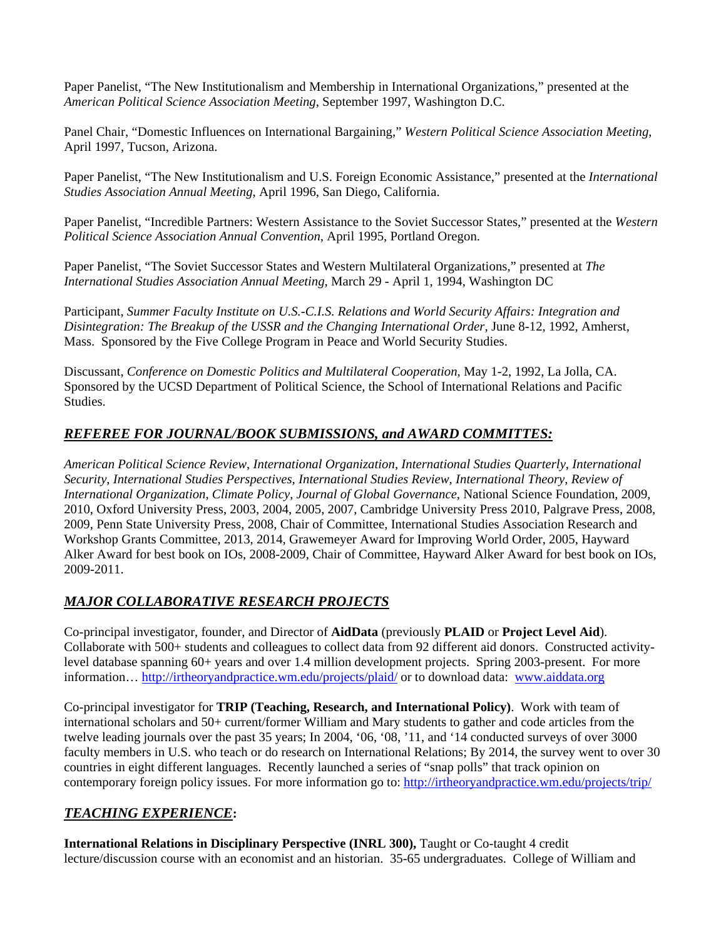Paper Panelist, "The New Institutionalism and Membership in International Organizations," presented at the *American Political Science Association Meeting*, September 1997, Washington D.C.

Panel Chair, "Domestic Influences on International Bargaining," *Western Political Science Association Meeting*, April 1997, Tucson, Arizona.

Paper Panelist, "The New Institutionalism and U.S. Foreign Economic Assistance," presented at the *International Studies Association Annual Meeting*, April 1996, San Diego, California.

Paper Panelist, "Incredible Partners: Western Assistance to the Soviet Successor States," presented at the *Western Political Science Association Annual Convention*, April 1995, Portland Oregon.

Paper Panelist, "The Soviet Successor States and Western Multilateral Organizations," presented at *The International Studies Association Annual Meeting*, March 29 - April 1, 1994, Washington DC

Participant, *Summer Faculty Institute on U.S.-C.I.S. Relations and World Security Affairs: Integration and Disintegration: The Breakup of the USSR and the Changing International Order*, June 8-12, 1992, Amherst, Mass. Sponsored by the Five College Program in Peace and World Security Studies.

Discussant, *Conference on Domestic Politics and Multilateral Cooperation*, May 1-2, 1992, La Jolla, CA. Sponsored by the UCSD Department of Political Science, the School of International Relations and Pacific Studies.

# *REFEREE FOR JOURNAL/BOOK SUBMISSIONS, and AWARD COMMITTES:*

*American Political Science Review*, *International Organization*, *International Studies Quarterly*, *International Security*, *International Studies Perspectives*, *International Studies Review*, *International Theory*, *Review of International Organization*, *Climate Policy*, *Journal of Global Governance*, National Science Foundation, 2009, 2010, Oxford University Press, 2003, 2004, 2005, 2007, Cambridge University Press 2010, Palgrave Press, 2008, 2009, Penn State University Press, 2008, Chair of Committee, International Studies Association Research and Workshop Grants Committee, 2013, 2014, Grawemeyer Award for Improving World Order, 2005, Hayward Alker Award for best book on IOs, 2008-2009, Chair of Committee, Hayward Alker Award for best book on IOs, 2009-2011.

# *MAJOR COLLABORATIVE RESEARCH PROJECTS*

Co-principal investigator, founder, and Director of **AidData** (previously **PLAID** or **Project Level Aid**). Collaborate with 500+ students and colleagues to collect data from 92 different aid donors. Constructed activitylevel database spanning 60+ years and over 1.4 million development projects. Spring 2003-present. For more information… http://irtheoryandpractice.wm.edu/projects/plaid/ or to download data: www.aiddata.org

Co-principal investigator for **TRIP (Teaching, Research, and International Policy)**. Work with team of international scholars and 50+ current/former William and Mary students to gather and code articles from the twelve leading journals over the past 35 years; In 2004, '06, '08, '11, and '14 conducted surveys of over 3000 faculty members in U.S. who teach or do research on International Relations; By 2014, the survey went to over 30 countries in eight different languages. Recently launched a series of "snap polls" that track opinion on contemporary foreign policy issues. For more information go to: http://irtheoryandpractice.wm.edu/projects/trip/

# *TEACHING EXPERIENCE***:**

**International Relations in Disciplinary Perspective (INRL 300),** Taught or Co-taught 4 credit lecture/discussion course with an economist and an historian. 35-65 undergraduates. College of William and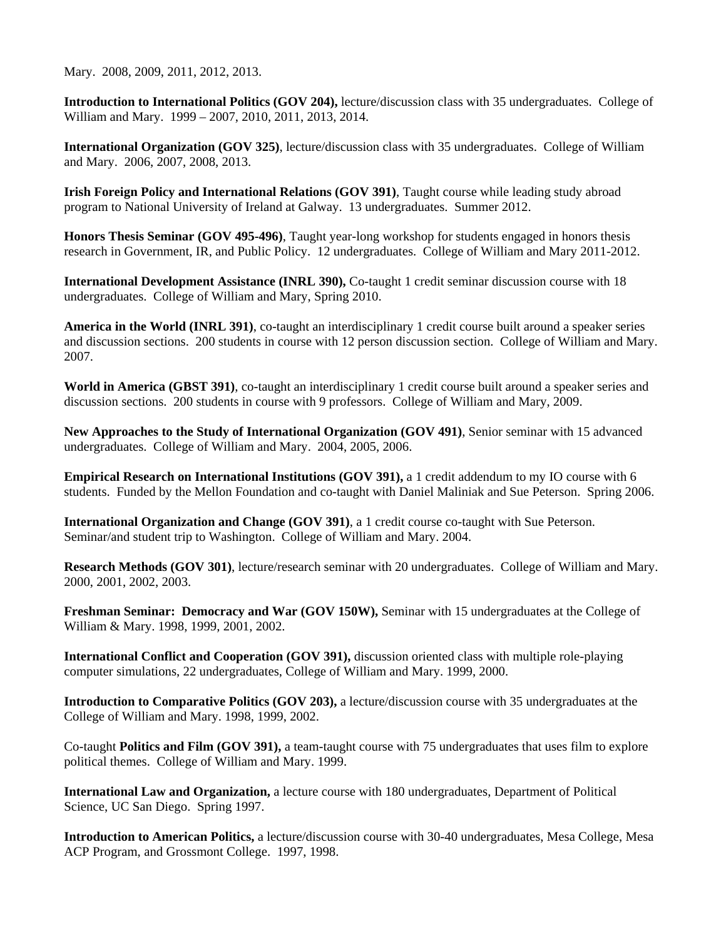Mary. 2008, 2009, 2011, 2012, 2013.

**Introduction to International Politics (GOV 204),** lecture/discussion class with 35 undergraduates. College of William and Mary. 1999 – 2007, 2010, 2011, 2013, 2014.

**International Organization (GOV 325)**, lecture/discussion class with 35 undergraduates. College of William and Mary. 2006, 2007, 2008, 2013.

**Irish Foreign Policy and International Relations (GOV 391)**, Taught course while leading study abroad program to National University of Ireland at Galway. 13 undergraduates. Summer 2012.

**Honors Thesis Seminar (GOV 495-496)**, Taught year-long workshop for students engaged in honors thesis research in Government, IR, and Public Policy. 12 undergraduates. College of William and Mary 2011-2012.

**International Development Assistance (INRL 390),** Co-taught 1 credit seminar discussion course with 18 undergraduates. College of William and Mary, Spring 2010.

**America in the World (INRL 391)**, co-taught an interdisciplinary 1 credit course built around a speaker series and discussion sections. 200 students in course with 12 person discussion section. College of William and Mary. 2007.

**World in America (GBST 391)**, co-taught an interdisciplinary 1 credit course built around a speaker series and discussion sections. 200 students in course with 9 professors. College of William and Mary, 2009.

**New Approaches to the Study of International Organization (GOV 491)**, Senior seminar with 15 advanced undergraduates. College of William and Mary. 2004, 2005, 2006.

**Empirical Research on International Institutions (GOV 391),** a 1 credit addendum to my IO course with 6 students. Funded by the Mellon Foundation and co-taught with Daniel Maliniak and Sue Peterson. Spring 2006.

**International Organization and Change (GOV 391)**, a 1 credit course co-taught with Sue Peterson. Seminar/and student trip to Washington. College of William and Mary. 2004.

**Research Methods (GOV 301)**, lecture/research seminar with 20 undergraduates. College of William and Mary. 2000, 2001, 2002, 2003.

**Freshman Seminar: Democracy and War (GOV 150W),** Seminar with 15 undergraduates at the College of William & Mary. 1998, 1999, 2001, 2002.

**International Conflict and Cooperation (GOV 391),** discussion oriented class with multiple role-playing computer simulations, 22 undergraduates, College of William and Mary. 1999, 2000.

**Introduction to Comparative Politics (GOV 203),** a lecture/discussion course with 35 undergraduates at the College of William and Mary. 1998, 1999, 2002.

Co-taught **Politics and Film (GOV 391),** a team-taught course with 75 undergraduates that uses film to explore political themes. College of William and Mary. 1999.

**International Law and Organization,** a lecture course with 180 undergraduates, Department of Political Science, UC San Diego. Spring 1997.

**Introduction to American Politics,** a lecture/discussion course with 30-40 undergraduates, Mesa College, Mesa ACP Program, and Grossmont College. 1997, 1998.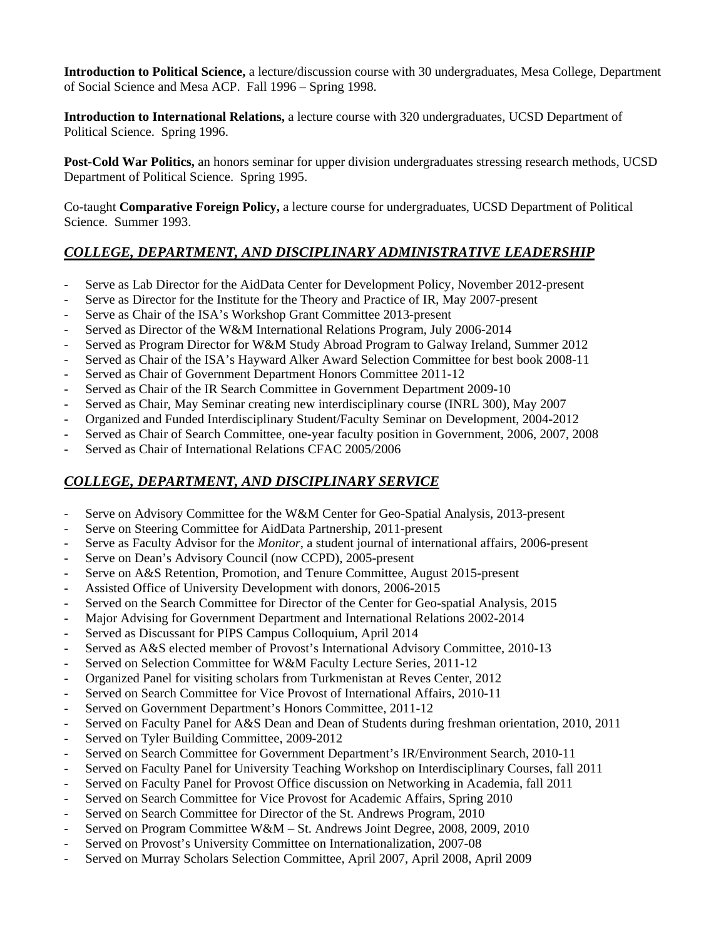**Introduction to Political Science,** a lecture/discussion course with 30 undergraduates, Mesa College, Department of Social Science and Mesa ACP. Fall 1996 – Spring 1998.

**Introduction to International Relations,** a lecture course with 320 undergraduates, UCSD Department of Political Science. Spring 1996.

**Post-Cold War Politics,** an honors seminar for upper division undergraduates stressing research methods, UCSD Department of Political Science. Spring 1995.

Co-taught **Comparative Foreign Policy,** a lecture course for undergraduates, UCSD Department of Political Science. Summer 1993.

## *COLLEGE, DEPARTMENT, AND DISCIPLINARY ADMINISTRATIVE LEADERSHIP*

- Serve as Lab Director for the AidData Center for Development Policy, November 2012-present
- Serve as Director for the Institute for the Theory and Practice of IR, May 2007-present
- Serve as Chair of the ISA's Workshop Grant Committee 2013-present
- Served as Director of the W&M International Relations Program, July 2006-2014
- Served as Program Director for W&M Study Abroad Program to Galway Ireland, Summer 2012
- Served as Chair of the ISA's Hayward Alker Award Selection Committee for best book 2008-11
- Served as Chair of Government Department Honors Committee 2011-12
- Served as Chair of the IR Search Committee in Government Department 2009-10
- Served as Chair, May Seminar creating new interdisciplinary course (INRL 300), May 2007
- Organized and Funded Interdisciplinary Student/Faculty Seminar on Development, 2004-2012
- Served as Chair of Search Committee, one-year faculty position in Government, 2006, 2007, 2008
- Served as Chair of International Relations CFAC 2005/2006

### *COLLEGE, DEPARTMENT, AND DISCIPLINARY SERVICE*

- Serve on Advisory Committee for the W&M Center for Geo-Spatial Analysis, 2013-present
- Serve on Steering Committee for AidData Partnership, 2011-present
- Serve as Faculty Advisor for the *Monitor*, a student journal of international affairs, 2006-present
- Serve on Dean's Advisory Council (now CCPD), 2005-present
- Serve on A&S Retention, Promotion, and Tenure Committee, August 2015-present
- Assisted Office of University Development with donors, 2006-2015
- Served on the Search Committee for Director of the Center for Geo-spatial Analysis, 2015
- Major Advising for Government Department and International Relations 2002-2014
- Served as Discussant for PIPS Campus Colloquium, April 2014
- Served as A&S elected member of Provost's International Advisory Committee, 2010-13
- Served on Selection Committee for W&M Faculty Lecture Series, 2011-12
- Organized Panel for visiting scholars from Turkmenistan at Reves Center, 2012
- Served on Search Committee for Vice Provost of International Affairs, 2010-11
- Served on Government Department's Honors Committee, 2011-12
- Served on Faculty Panel for A&S Dean and Dean of Students during freshman orientation, 2010, 2011
- Served on Tyler Building Committee, 2009-2012
- Served on Search Committee for Government Department's IR/Environment Search, 2010-11
- Served on Faculty Panel for University Teaching Workshop on Interdisciplinary Courses, fall 2011
- Served on Faculty Panel for Provost Office discussion on Networking in Academia, fall 2011
- Served on Search Committee for Vice Provost for Academic Affairs, Spring 2010
- Served on Search Committee for Director of the St. Andrews Program, 2010
- Served on Program Committee W&M St. Andrews Joint Degree, 2008, 2009, 2010
- Served on Provost's University Committee on Internationalization, 2007-08
- Served on Murray Scholars Selection Committee, April 2007, April 2008, April 2009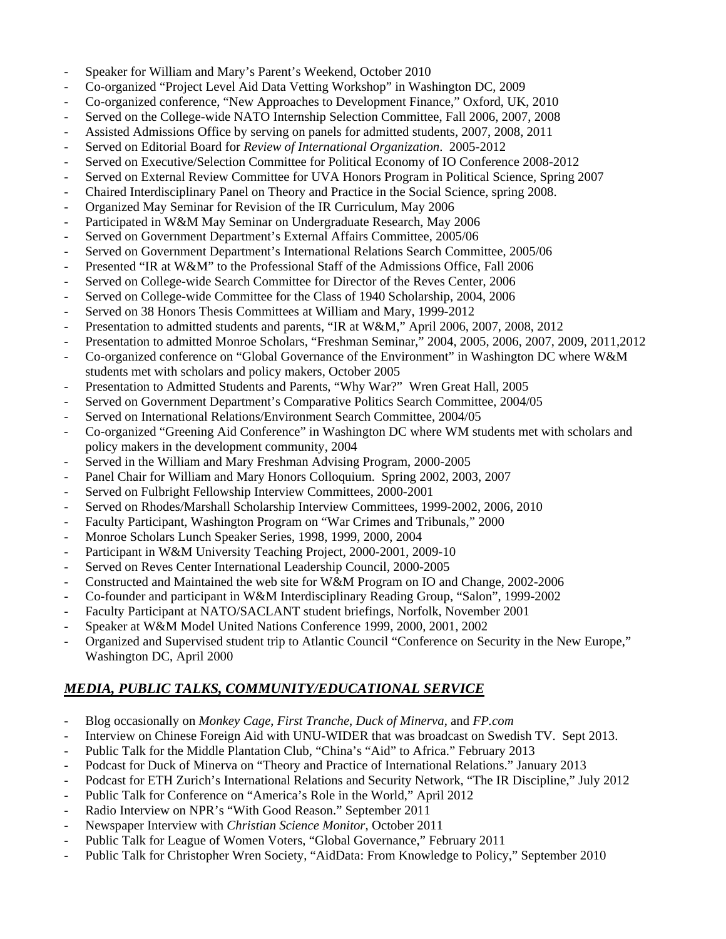- Speaker for William and Mary's Parent's Weekend, October 2010
- Co-organized "Project Level Aid Data Vetting Workshop" in Washington DC, 2009
- Co-organized conference, "New Approaches to Development Finance," Oxford, UK, 2010
- Served on the College-wide NATO Internship Selection Committee, Fall 2006, 2007, 2008
- Assisted Admissions Office by serving on panels for admitted students, 2007, 2008, 2011
- Served on Editorial Board for *Review of International Organization*. 2005-2012
- Served on Executive/Selection Committee for Political Economy of IO Conference 2008-2012
- Served on External Review Committee for UVA Honors Program in Political Science, Spring 2007
- Chaired Interdisciplinary Panel on Theory and Practice in the Social Science, spring 2008.
- Organized May Seminar for Revision of the IR Curriculum, May 2006
- Participated in W&M May Seminar on Undergraduate Research, May 2006
- Served on Government Department's External Affairs Committee, 2005/06
- Served on Government Department's International Relations Search Committee, 2005/06
- Presented "IR at W&M" to the Professional Staff of the Admissions Office, Fall 2006
- Served on College-wide Search Committee for Director of the Reves Center, 2006
- Served on College-wide Committee for the Class of 1940 Scholarship, 2004, 2006
- Served on 38 Honors Thesis Committees at William and Mary, 1999-2012
- Presentation to admitted students and parents, "IR at W&M," April 2006, 2007, 2008, 2012
- Presentation to admitted Monroe Scholars, "Freshman Seminar," 2004, 2005, 2006, 2007, 2009, 2011,2012
- Co-organized conference on "Global Governance of the Environment" in Washington DC where W&M students met with scholars and policy makers, October 2005
- Presentation to Admitted Students and Parents, "Why War?" Wren Great Hall, 2005
- Served on Government Department's Comparative Politics Search Committee, 2004/05
- Served on International Relations/Environment Search Committee, 2004/05
- Co-organized "Greening Aid Conference" in Washington DC where WM students met with scholars and policy makers in the development community, 2004
- Served in the William and Mary Freshman Advising Program, 2000-2005
- Panel Chair for William and Mary Honors Colloquium. Spring 2002, 2003, 2007
- Served on Fulbright Fellowship Interview Committees, 2000-2001
- Served on Rhodes/Marshall Scholarship Interview Committees, 1999-2002, 2006, 2010
- Faculty Participant, Washington Program on "War Crimes and Tribunals," 2000
- Monroe Scholars Lunch Speaker Series, 1998, 1999, 2000, 2004
- Participant in W&M University Teaching Project, 2000-2001, 2009-10
- Served on Reves Center International Leadership Council, 2000-2005
- Constructed and Maintained the web site for W&M Program on IO and Change, 2002-2006
- Co-founder and participant in W&M Interdisciplinary Reading Group, "Salon", 1999-2002
- Faculty Participant at NATO/SACLANT student briefings, Norfolk, November 2001
- Speaker at W&M Model United Nations Conference 1999, 2000, 2001, 2002
- Organized and Supervised student trip to Atlantic Council "Conference on Security in the New Europe," Washington DC, April 2000

## *MEDIA, PUBLIC TALKS, COMMUNITY/EDUCATIONAL SERVICE*

- Blog occasionally on *Monkey Cage*, *First Tranche*, *Duck of Minerva*, and *FP.com*
- Interview on Chinese Foreign Aid with UNU-WIDER that was broadcast on Swedish TV. Sept 2013.
- Public Talk for the Middle Plantation Club, "China's "Aid" to Africa." February 2013
- Podcast for Duck of Minerva on "Theory and Practice of International Relations." January 2013
- Podcast for ETH Zurich's International Relations and Security Network, "The IR Discipline," July 2012
- Public Talk for Conference on "America's Role in the World," April 2012
- Radio Interview on NPR's "With Good Reason." September 2011
- Newspaper Interview with *Christian Science Monitor*, October 2011
- Public Talk for League of Women Voters, "Global Governance," February 2011
- Public Talk for Christopher Wren Society, "AidData: From Knowledge to Policy," September 2010